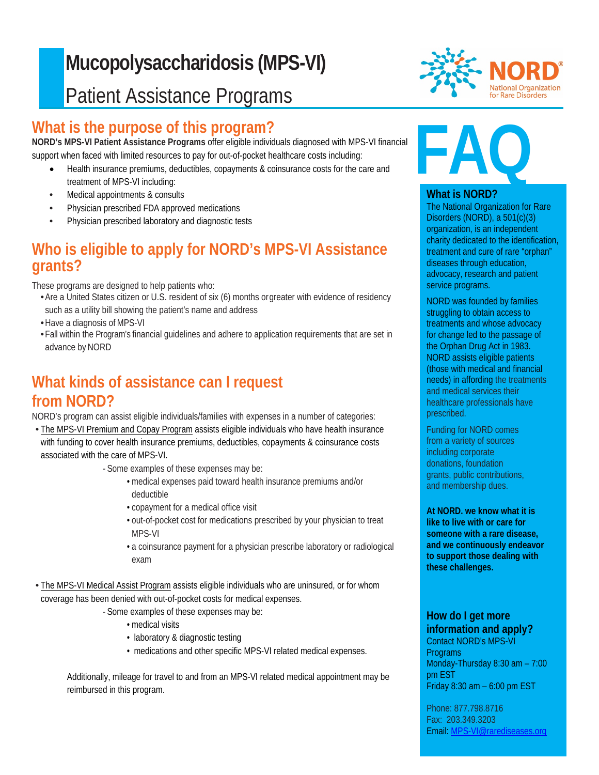# $\overline{D}$ **Mucopolysaccharidosis (MPS-VI)** Patient Assistance Programs

### j **What is the purpose of this program?**

**NORD's MPS-VI Patient Assistance Programs** offer eligible individuals diagnosed with MPS-VI financial support when faced with limited resources to pay for out-of-pocket healthcare costs including:

- Health insurance premiums, deductibles, copayments & coinsurance costs for the care and treatment of MPS-VI including:
- Medical appointments & consults
- Physician prescribed FDA approved medications
- Physician prescribed laboratory and diagnostic tests

# **Who is eligible to apply for NORD's MPS-VI Assistance grants?**

These programs are designed to help patients who:

- •Are a United States citizen or U.S. resident of six (6) months orgreater with evidence of residency such as a utility bill showing the patient's name and address
- Have a diagnosis of MPS-VI
- •Fall within the Program's financial guidelines and adhere to application requirements that are set in advance by NORD

### **What kinds of assistance can I request from NORD?**

NORD's program can assist eligible individuals/families with expenses in a number of categories:

• The MPS-VI Premium and Copay Program assists eligible individuals who have health insurance with funding to cover health insurance premiums, deductibles, copayments & coinsurance costs associated with the care of MPS-VI.

*-* Some examples of these expenses may be:

- medical expenses paid toward health insurance premiums and/or deductible
- copayment for a medical office visit
- out-of-pocket cost for medications prescribed by your physician to treat MPS-VI
- a coinsurance payment for a physician prescribe laboratory or radiological exam

• The MPS-VI Medical Assist Program assists eligible individuals who are uninsured, or for whom coverage has been denied with out-of-pocket costs for medical expenses.

- *-* Some examples of these expenses may be:
	- medical visits
	- laboratory & diagnostic testing
	- medications and other specific MPS-VI related medical expenses.

Additionally, mileage for travel to and from an MPS-VI related medical appointment may be reimbursed in this program.



# **FAQ**

### **What is NORD?**

The National Organization for Rare Disorders (NORD), a 501(c)(3) organization, is an independent charity dedicated to the identification, treatment and cure of rare "orphan" diseases through education, advocacy, research and patient service programs.

NORD was founded by families struggling to obtain access to treatments and whose advocacy for change led to the passage of the Orphan Drug Act in 1983. NORD assists eligible patients (those with medical and financial needs) in affording the treatments and medical services their healthcare professionals have prescribed.

Funding for NORD comes from a variety of sources including corporate donations, foundation grants, public contributions, and membership dues.

**At NORD. we know what it is like to live with or care for someone with a rare disease, and we continuously endeavor to support those dealing with these challenges.**

### **How do I get more information and apply?**

Contact NORD's MPS-VI Programs Monday-Thursday 8:30 am – 7:00 pm EST Friday 8:30 am – 6:00 pm EST

Phone: 877.798.8716 Fax: 203.349.3203 Email: [MPS-VI@rarediseases.org](mailto:MPS-VI@rarediseases.org)